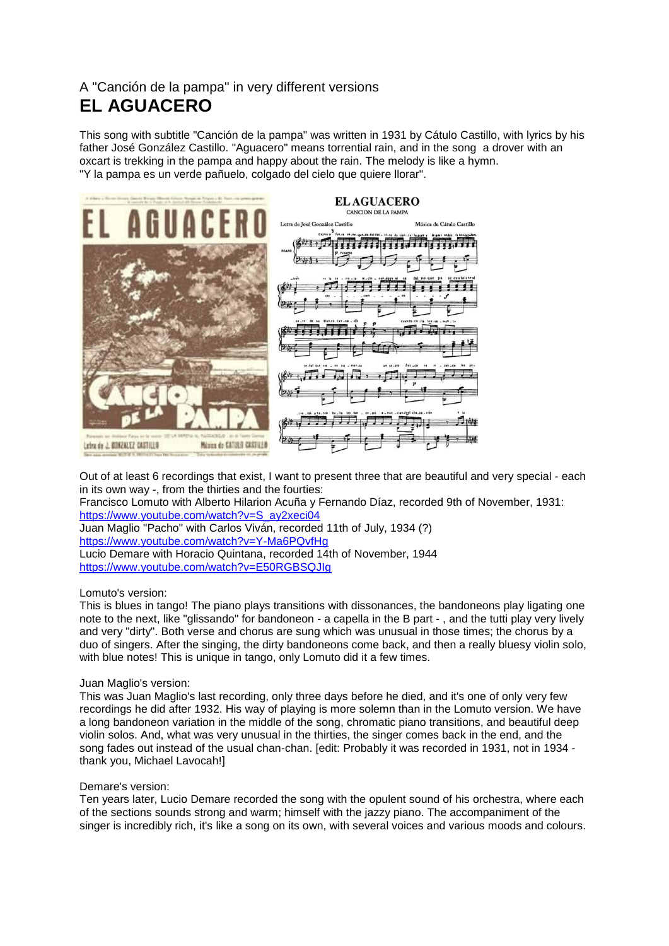## A "Canción de la pampa" in very different versions **EL AGUACERO**

This song with subtitle "Canción de la pampa" was written in 1931 by Cátulo Castillo, with lyrics by his father José González Castillo. "Aguacero" means torrential rain, and in the song a drover with an oxcart is trekking in the pampa and happy about the rain. The melody is like a hymn. "Y la pampa es un verde pañuelo, colgado del cielo que quiere llorar".



Out of at least 6 recordings that exist, I want to present three that are beautiful and very special - each in its own way -, from the thirties and the fourties:

Francisco Lomuto with Alberto Hilarion Acuña y Fernando Díaz, recorded 9th of November, 1931: [https://www.youtube.com/watch?v=S\\_ay2xeci04](https://www.youtube.com/watch?v=S_ay2xeci04)

Juan Maglio "Pacho" with Carlos Viván, recorded 11th of July, 1934 (?) <https://www.youtube.com/watch?v=Y-Ma6PQvfHg> Lucio Demare with Horacio Quintana, recorded 14th of November, 1944 <https://www.youtube.com/watch?v=E50RGBSQJIg>

## Lomuto's version:

This is blues in tango! The piano plays transitions with dissonances, the bandoneons play ligating one note to the next, like "glissando" for bandoneon - a capella in the B part - , and the tutti play very lively and very "dirty". Both verse and chorus are sung which was unusual in those times; the chorus by a duo of singers. After the singing, the dirty bandoneons come back, and then a really bluesy violin solo, with blue notes! This is unique in tango, only Lomuto did it a few times.

## Juan Maglio's version:

This was Juan Maglio's last recording, only three days before he died, and it's one of only very few recordings he did after 1932. His way of playing is more solemn than in the Lomuto version. We have a long bandoneon variation in the middle of the song, chromatic piano transitions, and beautiful deep violin solos. And, what was very unusual in the thirties, the singer comes back in the end, and the song fades out instead of the usual chan-chan. [edit: Probably it was recorded in 1931, not in 1934 thank you, Michael Lavocah!]

## Demare's version:

Ten years later, Lucio Demare recorded the song with the opulent sound of his orchestra, where each of the sections sounds strong and warm; himself with the jazzy piano. The accompaniment of the singer is incredibly rich, it's like a song on its own, with several voices and various moods and colours.